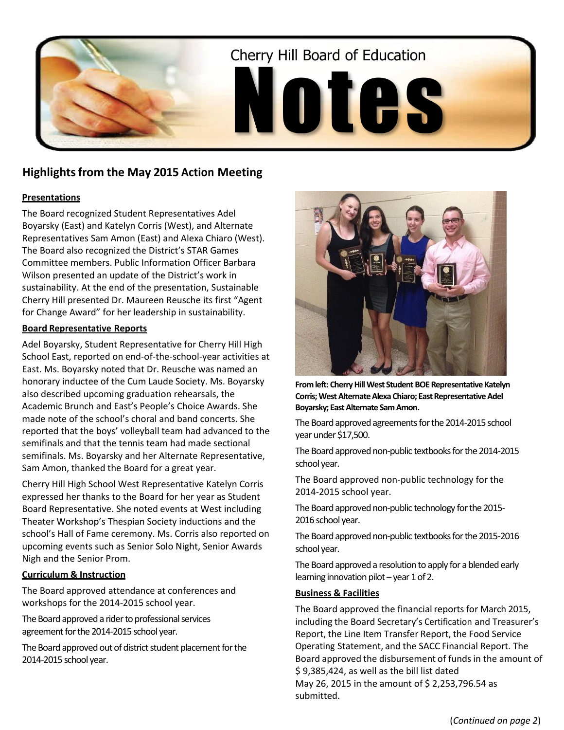

# **Highlights from the May 2015 Action Meeting**

## **Presentations**

The Board recognized Student Representatives Adel Boyarsky (East) and Katelyn Corris (West), and Alternate Representatives Sam Amon (East) and Alexa Chiaro (West). The Board also recognized the District's STAR Games Committee members. Public Information Officer Barbara Wilson presented an update of the District's work in sustainability. At the end of the presentation, Sustainable Cherry Hill presented Dr. Maureen Reusche its first "Agent for Change Award" for her leadership in sustainability.

## **Board Representative Reports**

Adel Boyarsky, Student Representative for Cherry Hill High School East, reported on end-of-the-school-year activities at East. Ms. Boyarsky noted that Dr. Reusche was named an honorary inductee of the Cum Laude Society. Ms. Boyarsky also described upcoming graduation rehearsals, the Academic Brunch and East's People's Choice Awards. She made note of the school's choral and band concerts. She reported that the boys' volleyball team had advanced to the semifinals and that the tennis team had made sectional semifinals. Ms. Boyarsky and her Alternate Representative, Sam Amon, thanked the Board for a great year.

Cherry Hill High School West Representative Katelyn Corris expressed her thanks to the Board for her year as Student Board Representative. She noted events at West including Theater Workshop's Thespian Society inductions and the school's Hall of Fame ceremony. Ms. Corris also reported on upcoming events such as Senior Solo Night, Senior Awards Nigh and the Senior Prom.

## **Curriculum & Instruction**

The Board approved attendance at conferences and workshops for the 2014-2015 school year.

The Board approved a rider to professional services agreement for the 2014-2015 school year.

The Board approved out of district student placement for the 2014-2015 school year.



**From left: Cherry Hill West Student BOE Representative Katelyn Corris; West Alternate Alexa Chiaro; East Representative Adel Boyarsky; East Alternate Sam Amon.**

The Board approved agreements for the 2014-2015 school year under \$17,500.

The Board approved non-public textbooks for the 2014-2015 school year.

The Board approved non-public technology for the 2014-2015 school year.

The Board approved non-public technology for the 2015- 2016 school year.

The Board approved non-public textbooks for the 2015-2016 school year.

The Board approved a resolution to apply for a blended early learning innovation pilot – year 1 of 2.

## **Business & Facilities**

The Board approved the financial reports for March 2015, including the Board Secretary's Certification and Treasurer's Report, the Line Item Transfer Report, the Food Service Operating Statement, and the SACC Financial Report. The Board approved the disbursement of funds in the amount of \$ 9,385,424, as well as the bill list dated May 26, 2015 in the amount of \$ 2,253,796.54 as submitted.

(*Continued on page 2*)